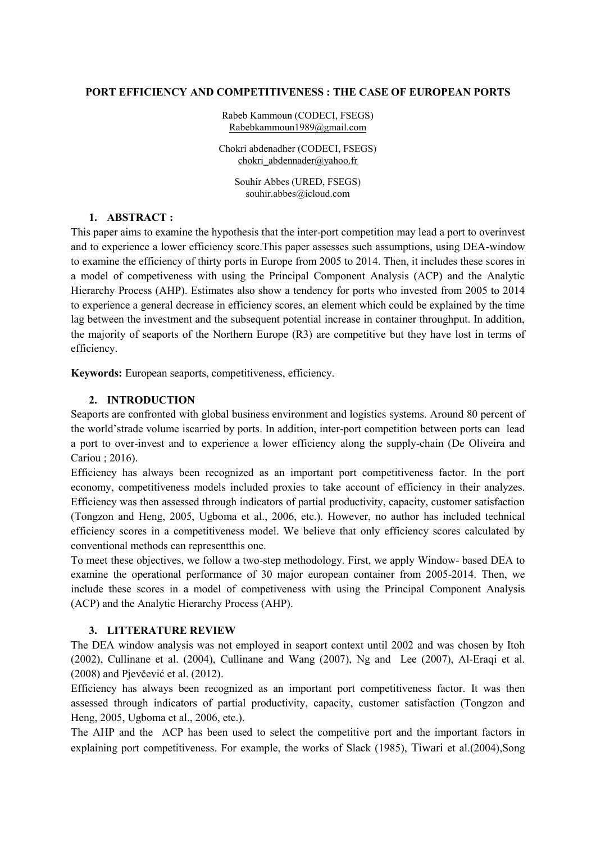### **PORT EFFICIENCY AND [COMPETITIVENESS](https://www.sciencedirect.com/science/article/pii/S096585640500025X) : THE CASE OF EUROPEAN PORTS**

Rabeb Kammoun (CODECI, FSEGS) [Rabebkammoun1989@gmail.com](mailto:Rabebkammoun1989@gmail.com)

Chokri abdenadher (CODECI, FSEGS) [chokri\\_abdennader@yahoo.fr](mailto:chokri_abdennader@yahoo.fr)

Souhir Abbes (URED, FSEGS) souhir.abbes@icloud.com

## **1. ABSTRACT :**

This paper aims to examine the hypothesis that the inter-port competition may lead a port to overinvest and to experience a lower efficiency score.This paper assesses such assumptions, using DEA-window to examine the efficiency of thirty ports in Europe from 2005 to 2014. Then, it includes these scores in a model of competiveness with using the Principal Component Analysis (ACP) and the Analytic Hierarchy Process (AHP). Estimates also show a tendency for ports who invested from 2005 to 2014 to experience a general decrease in efficiency scores, an element which could be explained by the time lag between the investment and the subsequent potential increase in container throughput. In addition, the majority of seaports of the Northern Europe (R3) are competitive but they have lost in terms of efficiency.

**Keywords:** European seaports, competitiveness, efficiency.

### **2. INTRODUCTION**

Seaports are confronted with global business environment and logistics systems. Around 80 percent of the world'strade volume iscarried by ports. In addition, inter-port competition between ports can lead a port to over-invest and to experience a lower efficiency along the supply-chain (De Oliveira and Cariou ; 2016).

Efficiency has always been recognized as an important port competitiveness factor. In the port economy, competitiveness models included proxies to take account of efficiency in their analyzes. Efficiency was then assessed through indicators of partial productivity, capacity, customer satisfaction (Tongzon and Heng, 2005, Ugboma et al., 2006, etc.). However, no author has included technical efficiency scores in a competitiveness model. We believe that only efficiency scores calculated by conventional methods can representthis one.

To meet these objectives, we follow a two-step methodology. First, we apply Window- based DEA to examine the operational performance of 30 major european container from 2005-2014. Then, we include these scores in a model of competiveness with using the Principal Component Analysis (ACP) and the Analytic Hierarchy Process (AHP).

### **3. LITTERATURE REVIEW**

The DEA window analysis was not employed in seaport context until 2002 and was chosen by Itoh (2002), Cullinane et al. (2004), Cullinane and Wang (2007), Ng and Lee (2007), Al-Eraqi et al. (2008) and Pjevčević et al. (2012).

Efficiency has always been recognized as an important port competitiveness factor. It was then assessed through indicators of partial productivity, capacity, customer satisfaction (Tongzon and Heng, 2005, Ugboma et al., 2006, etc.).

The AHP and the ACP has been used to select the competitive port and the important factors in explaining port competitiveness. For example, the works of Slack (1985), Tiwari et al.(2004),Song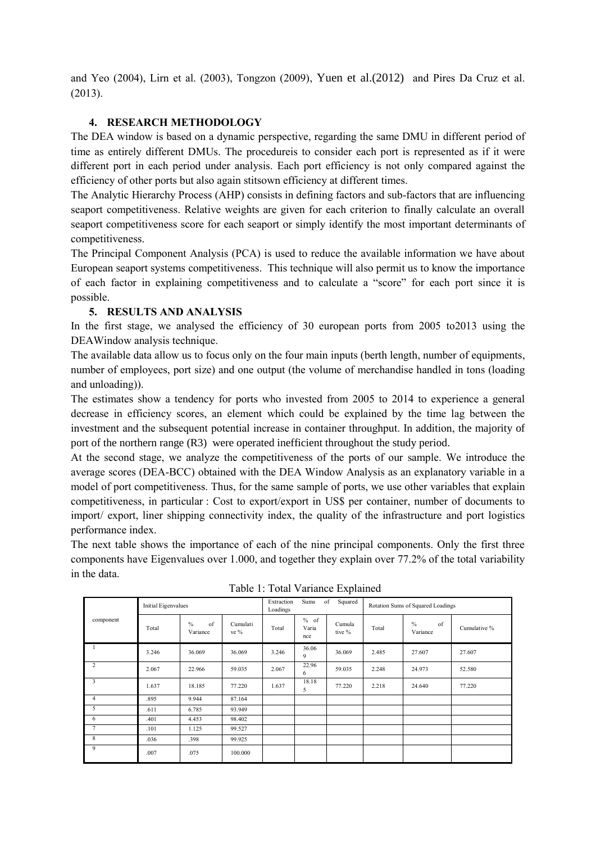and Yeo (2004), Lirn et al. (2003), Tongzon (2009), Yuen et al.(2012) and Pires Da Cruz et al. (2013).

# **4. RESEARCH METHODOLOGY**

The DEA window is based on a dynamic perspective, regarding the same DMU in different period of time as entirely different DMUs. The procedureis to consider each port is represented as if it were different port in each period under analysis. Each port efficiency is not only compared against the efficiency of other ports but also again stitsown efficiency at different times.

The Analytic Hierarchy Process (AHP) consists in defining factors and sub-factors that are influencing seaport competitiveness. Relative weights are given for each criterion to finally calculate an overall seaport competitiveness score for each seaport or simply identify the most important determinants of competitiveness.

The Principal Component Analysis (PCA) is used to reduce the available information we have about European seaport systems competitiveness. This technique will also permit us to know the importance of each factor in explaining competitiveness and to calculate a "score" for each port since it is possible.

# **5. RESULTS AND ANALYSIS**

In the first stage, we analysed the efficiency of 30 european ports from 2005 to2013 using the DEAWindow analysis technique.

The available data allow us to focus only on the four main inputs (berth length, number of equipments, number of employees, port size) and one output (the volume of merchandise handled in tons (loading and unloading)).

The estimates show a tendency for ports who invested from 2005 to 2014 to experience a general decrease in efficiency scores, an element which could be explained by the time lag between the investment and the subsequent potential increase in container throughput. In addition, the majority of port of the northern range (R3) were operated inefficient throughout the study period.

At the second stage, we analyze the competitiveness of the ports of our sample. We introduce the average scores (DEA-BCC) obtained with the DEA Window Analysis as an explanatory variable in a model of port competitiveness. Thus, for the same sample of ports, we use other variables that explain competitiveness, in particular : Cost to export/export in US\$ per container, number of documents to import/ export, liner shipping connectivity index, the quality of the infrastructure and port logistics performance index.

The next table shows the importance of each of the nine principal components. Only the first three components have Eigenvalues over 1.000, and together they explain over 77.2% of the total variability in the data.

|                | <b>Initial Eigenvalues</b> |                                 |                  | Extraction<br>Sums<br>of<br>Squared<br>Loadings |                      |                  | Rotation Sums of Squared Loadings |                        |              |
|----------------|----------------------------|---------------------------------|------------------|-------------------------------------------------|----------------------|------------------|-----------------------------------|------------------------|--------------|
| component      | Total                      | $\frac{0}{0}$<br>of<br>Variance | Cumulati<br>ve % | Total                                           | % of<br>Varia<br>nce | Cumula<br>tive % | Total                             | $\%$<br>of<br>Variance | Cumulative % |
|                | 3.246                      | 36.069                          | 36.069           | 3.246                                           | 36.06<br>9           | 36.069           | 2.485                             | 27.607                 | 27.607       |
| 2              | 2.067                      | 22.966                          | 59.035           | 2.067                                           | 22.96<br>6           | 59.035           | 2.248                             | 24.973                 | 52.580       |
| 3              | 1.637                      | 18.185                          | 77.220           | 1.637                                           | 18.18<br>5           | 77.220           | 2.218                             | 24.640                 | 77.220       |
| $\overline{4}$ | .895                       | 9.944                           | 87.164           |                                                 |                      |                  |                                   |                        |              |
| 5              | .611                       | 6.785                           | 93.949           |                                                 |                      |                  |                                   |                        |              |
| 6              | .401                       | 4.453                           | 98.402           |                                                 |                      |                  |                                   |                        |              |
| $\overline{7}$ | .101                       | 1.125                           | 99.527           |                                                 |                      |                  |                                   |                        |              |
| 8              | .036                       | .398                            | 99.925           |                                                 |                      |                  |                                   |                        |              |
| 9              | .007                       | .075                            | 100.000          |                                                 |                      |                  |                                   |                        |              |

Table 1: Total Variance Explained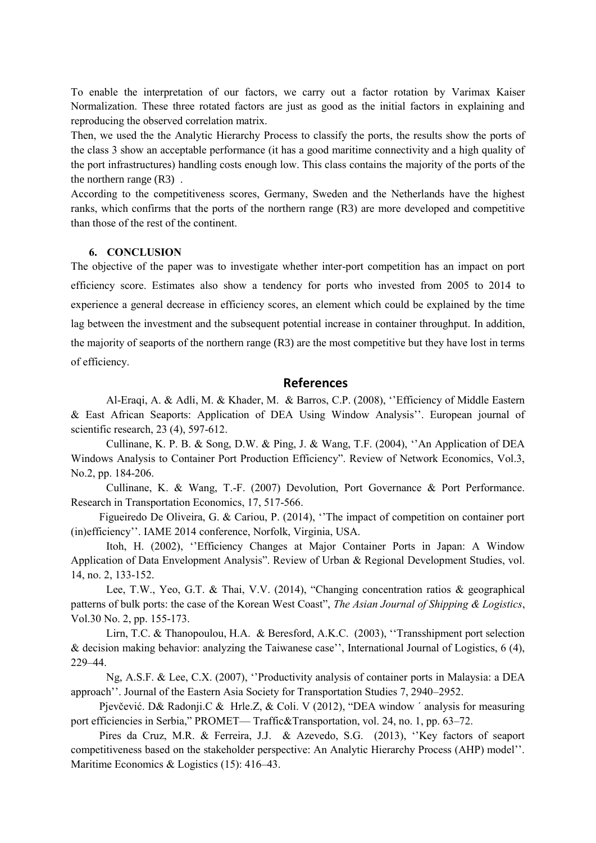To enable the interpretation of our factors, we carry out a factor rotation by Varimax Kaiser Normalization. These three rotated factors are just as good as the initial factors in explaining and reproducing the observed correlation matrix.

Then, we used the the Analytic Hierarchy Process to classify the ports, the results show the ports of the class 3 show an acceptable performance (it has a good maritime connectivity and a high quality of the port infrastructures) handling costs enough low. This class contains the majority of the ports of the the northern range (R3) .

According to the competitiveness scores, Germany, Sweden and the Netherlands have the highest ranks, which confirms that the ports of the northern range (R3) are more developed and competitive than those of the rest of the continent.

#### **6. CONCLUSION**

The objective of the paper was to investigate whether inter-port competition has an impact on port efficiency score. Estimates also show a tendency for ports who invested from 2005 to 2014 to experience a general decrease in efficiency scores, an element which could be explained by the time lag between the investment and the subsequent potential increase in container throughput. In addition, the majority of seaports of the northern range (R3) are the most competitive but they have lost in terms of efficiency.

## **References**

Al-Eraqi, A. & Adli, M. & Khader, M. & Barros, C.P. (2008), ''Efficiency of Middle Eastern & East African Seaports: Application of DEA Using Window Analysis''. European journal of scientific research, 23 (4), 597-612.

Cullinane, K. P. B. & Song, D.W. & Ping, J. & Wang, T.F. (2004), ''An Application of DEA Windows Analysis to Container Port Production Efficiency". Review of Network Economics, Vol.3, No.2, pp. 184-206.

Cullinane, K. & Wang, T.-F. (2007) Devolution, Port Governance & Port Performance. Research in Transportation Economics, 17, 517-566.

Figueiredo De Oliveira, G. & Cariou, P. (2014), ''The impact of competition on container port (in)efficiency''. IAME 2014 conference, Norfolk, Virginia, USA.

Itoh, H. (2002), ''Efficiency Changes at Major Container Ports in Japan: A Window Application of Data Envelopment Analysis". Review of Urban & Regional Development Studies, vol. 14, no. 2, 133-152.

Lee, T.W., Yeo, G.T. & Thai, V.V. (2014), "Changing concentration ratios & geographical patterns of bulk ports: the case of the Korean West Coast", *The Asian Journal of Shipping & Logistics*, Vol.30 No. 2, pp. 155-173.

Lirn, T.C. & Thanopoulou, H.A. & Beresford, A.K.C. (2003), ''Transshipment port selection & decision making behavior: analyzing the Taiwanese case'', International Journal of Logistics, 6 (4), 229–44.

Ng, A.S.F. & Lee, C.X. (2007), ''Productivity analysis of container ports in Malaysia: a DEA approach''. Journal of the Eastern Asia Society for Transportation Studies 7, 2940–2952.

Pjevčević. D& Radonji.C & Hrle.Z, & Coli. V (2012), "DEA window ' analysis for measuring port efficiencies in Serbia," PROMET— Traffic&Transportation, vol. 24, no. 1, pp. 63–72.

Pires da Cruz, M.R. & Ferreira, J.J. & Azevedo, S.G. (2013), ''Key factors of seaport competitiveness based on the stakeholder perspective: An Analytic Hierarchy Process (AHP) model''. Maritime Economics & Logistics (15): 416–43.